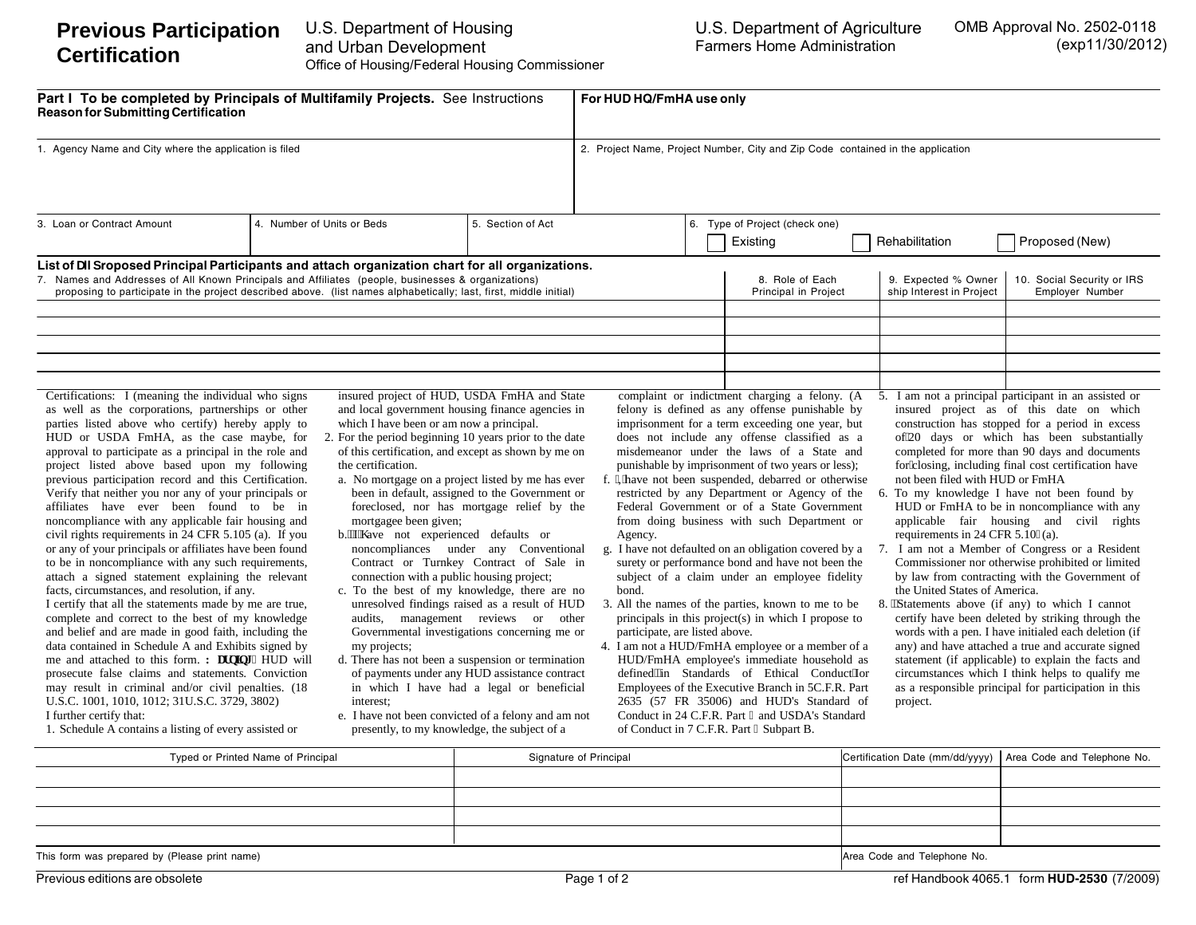| Part I To be completed by Principals of Multifamily Projects. See Instructions<br><b>Reason for Submitting Certification</b><br>1. Agency Name and City where the application is filed                                                                                                                                                                                                                                                                                                                                                                                                                                                                                                                                                                                                                                                                                                                                                                                                                                                                                                                                                                                                                                                                                                            |                                                                                                                                                                                                                                                                      |                                                                                                                                                                                                                                                                                                                                                                                                                                                                                                                                                                                                                                                                                                                                            | For HUD HQ/FmHA use only<br>2. Project Name, Project Number, City and Zip Code contained in the application |  |                                                                                                                                                                                                                                                                                                                                                                                                                                                                                                                                                                                                                                                                                                                                                                                                                                                                                                                                                                                                                                      |          |                                                                                                                  |                                                                                                                                                                                                                                                                                                                                                                                                                                                                                                                                                                                                                                                                                                                                                                                                                                                                                                                                                                                               |  |
|---------------------------------------------------------------------------------------------------------------------------------------------------------------------------------------------------------------------------------------------------------------------------------------------------------------------------------------------------------------------------------------------------------------------------------------------------------------------------------------------------------------------------------------------------------------------------------------------------------------------------------------------------------------------------------------------------------------------------------------------------------------------------------------------------------------------------------------------------------------------------------------------------------------------------------------------------------------------------------------------------------------------------------------------------------------------------------------------------------------------------------------------------------------------------------------------------------------------------------------------------------------------------------------------------|----------------------------------------------------------------------------------------------------------------------------------------------------------------------------------------------------------------------------------------------------------------------|--------------------------------------------------------------------------------------------------------------------------------------------------------------------------------------------------------------------------------------------------------------------------------------------------------------------------------------------------------------------------------------------------------------------------------------------------------------------------------------------------------------------------------------------------------------------------------------------------------------------------------------------------------------------------------------------------------------------------------------------|-------------------------------------------------------------------------------------------------------------|--|--------------------------------------------------------------------------------------------------------------------------------------------------------------------------------------------------------------------------------------------------------------------------------------------------------------------------------------------------------------------------------------------------------------------------------------------------------------------------------------------------------------------------------------------------------------------------------------------------------------------------------------------------------------------------------------------------------------------------------------------------------------------------------------------------------------------------------------------------------------------------------------------------------------------------------------------------------------------------------------------------------------------------------------|----------|------------------------------------------------------------------------------------------------------------------|-----------------------------------------------------------------------------------------------------------------------------------------------------------------------------------------------------------------------------------------------------------------------------------------------------------------------------------------------------------------------------------------------------------------------------------------------------------------------------------------------------------------------------------------------------------------------------------------------------------------------------------------------------------------------------------------------------------------------------------------------------------------------------------------------------------------------------------------------------------------------------------------------------------------------------------------------------------------------------------------------|--|
|                                                                                                                                                                                                                                                                                                                                                                                                                                                                                                                                                                                                                                                                                                                                                                                                                                                                                                                                                                                                                                                                                                                                                                                                                                                                                                   |                                                                                                                                                                                                                                                                      |                                                                                                                                                                                                                                                                                                                                                                                                                                                                                                                                                                                                                                                                                                                                            |                                                                                                             |  |                                                                                                                                                                                                                                                                                                                                                                                                                                                                                                                                                                                                                                                                                                                                                                                                                                                                                                                                                                                                                                      |          |                                                                                                                  |                                                                                                                                                                                                                                                                                                                                                                                                                                                                                                                                                                                                                                                                                                                                                                                                                                                                                                                                                                                               |  |
| List of UI droposed Principal Participants and attach organization chart for all organizations.<br>7. Names and Addresses of All Known Principals and Affiliates (people, businesses & organizations)<br>proposing to participate in the project described above. (list names alphabetically; last, first, middle initial)                                                                                                                                                                                                                                                                                                                                                                                                                                                                                                                                                                                                                                                                                                                                                                                                                                                                                                                                                                        |                                                                                                                                                                                                                                                                      |                                                                                                                                                                                                                                                                                                                                                                                                                                                                                                                                                                                                                                                                                                                                            |                                                                                                             |  | 8. Role of Each<br>Principal in Project                                                                                                                                                                                                                                                                                                                                                                                                                                                                                                                                                                                                                                                                                                                                                                                                                                                                                                                                                                                              |          | 9. Expected % Owner<br>ship Interest in Project                                                                  | 10. Social Security or IRS<br>Employer Number                                                                                                                                                                                                                                                                                                                                                                                                                                                                                                                                                                                                                                                                                                                                                                                                                                                                                                                                                 |  |
| Certifications: I (meaning the individual who signs<br>as well as the corporations, partnerships or other<br>parties listed above who certify) hereby apply to<br>HUD or USDA FmHA, as the case maybe, for<br>approval to participate as a principal in the role and<br>project listed above based upon my following<br>previous participation record and this Certification.<br>Verify that neither you nor any of your principals or<br>affiliates have ever been found to be in<br>noncompliance with any applicable fair housing and<br>civil rights requirements in 24 CFR 5.105 (a). If you<br>or any of your principals or affiliates have been found<br>to be in noncompliance with any such requirements,<br>attach a signed statement explaining the relevant<br>facts, circumstances, and resolution, if any.<br>I certify that all the statements made by me are true,<br>complete and correct to the best of my knowledge<br>and belief and are made in good faith, including the<br>data contained in Schedule A and Exhibits signed by<br>me and attached to this form. Y ctplpi < HUD will<br>prosecute false claims and statements. Conviction<br>may result in criminal and/or civil penalties. (18<br>U.S.C. 1001, 1010, 1012; 31U.S.C. 3729, 3802)<br>I further certify that: | which I have been or am now a principal.<br>2. For the period beginning 10 years prior to the date<br>the certification.<br>mortgagee been given;<br>b."T" ave not experienced defaults or<br>connection with a public housing project;<br>my projects;<br>interest: | insured project of HUD, USDA FmHA and State<br>and local government housing finance agencies in<br>of this certification, and except as shown by me on<br>a. No mortgage on a project listed by me has ever<br>been in default, assigned to the Government or<br>foreclosed, nor has mortgage relief by the<br>noncompliances under any Conventional<br>Contract or Turnkey Contract of Sale in<br>c. To the best of my knowledge, there are no<br>unresolved findings raised as a result of HUD<br>audits, management reviews or other<br>Governmental investigations concerning me or<br>d. There has not been a suspension or termination<br>of payments under any HUD assistance contract<br>in which I have had a legal or beneficial | Agency.<br>bond.<br>participate, are listed above.                                                          |  | complaint or indictment charging a felony. (A<br>felony is defined as any offense punishable by<br>imprisonment for a term exceeding one year, but<br>does not include any offense classified as a<br>misdemeanor under the laws of a State and<br>punishable by imprisonment of two years or less);<br>'Khave not been suspended, debarred or otherwise<br>restricted by any Department or Agency of the<br>Federal Government or of a State Government<br>from doing business with such Department or<br>g. I have not defaulted on an obligation covered by a<br>surety or performance bond and have not been the<br>subject of a claim under an employee fidelity<br>3. All the names of the parties, known to me to be<br>principals in this project(s) in which I propose to<br>4. I am not a HUD/FmHA employee or a member of a<br>HUD/FmHA employee's immediate household as<br>defined"in Standards of Ethical Conduct'hor<br>Employees of the Executive Branch in 5C.F.R. Part<br>2635 (57 FR 35006) and HUD's Standard of | 7.<br>8. | not been filed with HUD or FmHA<br>requirements in 24 CFR 5.107(a).<br>the United States of America.<br>project. | 5. I am not a principal participant in an assisted or<br>insured project as of this date on which<br>construction has stopped for a period in excess<br>of 20 days or which has been substantially<br>completed for more than 90 days and documents<br>for"closing, including final cost certification have<br>6. To my knowledge I have not been found by<br>HUD or FmHA to be in noncompliance with any<br>applicable fair housing and civil rights<br>I am not a Member of Congress or a Resident<br>Commissioner nor otherwise prohibited or limited<br>by law from contracting with the Government of<br>"Statements above (if any) to which I cannot<br>certify have been deleted by striking through the<br>words with a pen. I have initialed each deletion (if<br>any) and have attached a true and accurate signed<br>statement (if applicable) to explain the facts and<br>circumstances which I think helps to qualify me<br>as a responsible principal for participation in this |  |

| Typed or Printed Name of Principal            | Signature of Principal      | Certification Date (mm/dd/yyyy)   Area Code and Telephone No. |  |  |
|-----------------------------------------------|-----------------------------|---------------------------------------------------------------|--|--|
|                                               |                             |                                                               |  |  |
|                                               |                             |                                                               |  |  |
|                                               |                             |                                                               |  |  |
|                                               |                             |                                                               |  |  |
| This form was prepared by (Please print name) | Area Code and Telephone No. |                                                               |  |  |

Previous editions are obsolete ref Handbook 4065.1 form **HUD-2530**  $(7/2009)$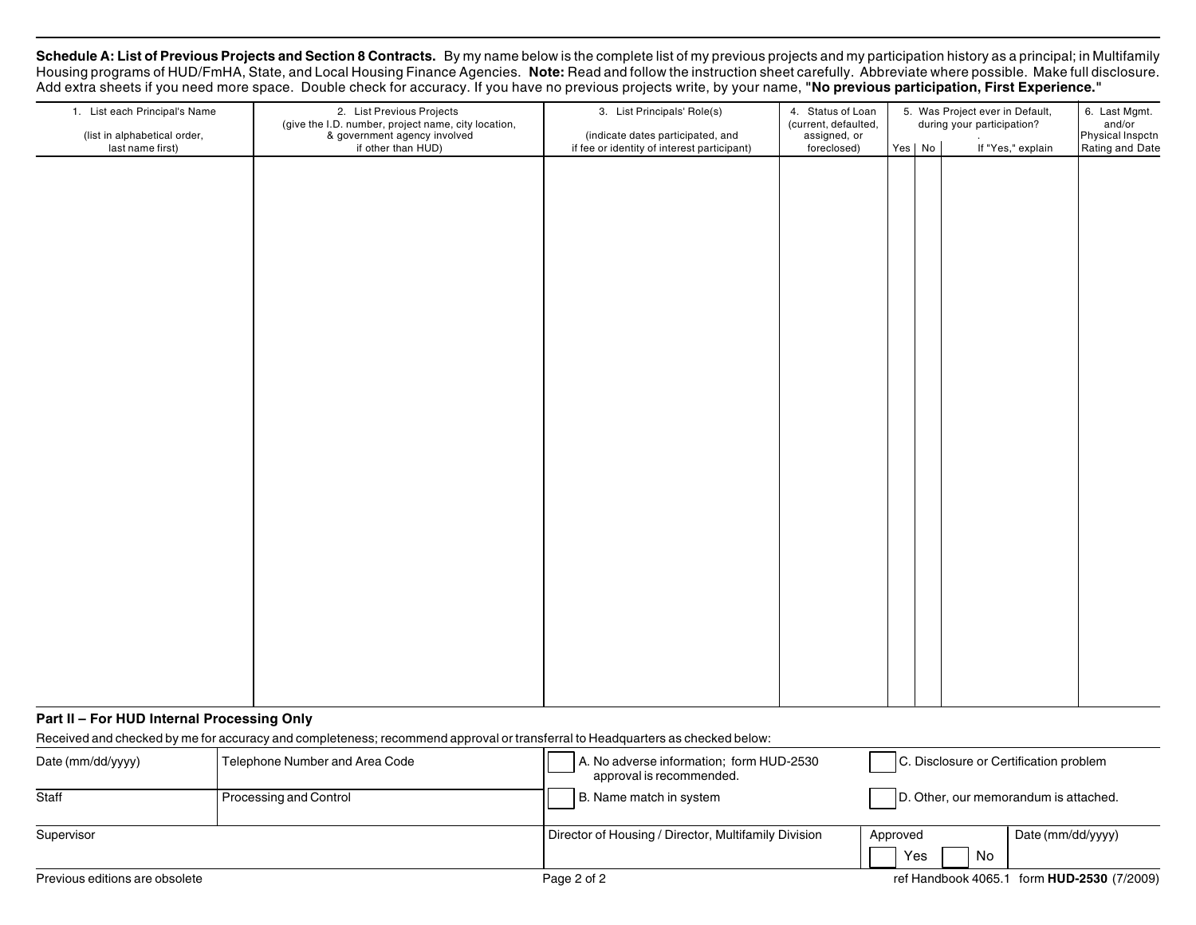Schedule A: List of Previous Projects and Section 8 Contracts. By my name below is the complete list of my previous projects and my participation history as a principal; in Multifamily Housing programs of HUD/FmHA, State, and Local Housing Finance Agencies. **Note:** Read and follow the instruction sheet carefully. Abbreviate where possible. Make full disclosure. Add extra sheets if you need more space. Double check for accuracy. If you have no previous projects write, by your name, **"No previous participation, First Experience."**

| 1. List each Principal's Name<br>(list in alphabetical order, | 2. List Previous Projects<br>(give the I.D. number, project name, city location,<br>& government agency involved | 3. List Principals' Role(s)<br>(indicate dates participated, and | 4. Status of Loan<br>(current, defaulted,<br>assigned, or | 5. Was Project ever in Default,<br>during your participation? | 6. Last Mgmt.<br>and/or<br>Physical Inspctn |                 |
|---------------------------------------------------------------|------------------------------------------------------------------------------------------------------------------|------------------------------------------------------------------|-----------------------------------------------------------|---------------------------------------------------------------|---------------------------------------------|-----------------|
| last name first)                                              | if other than HUD)                                                                                               | if fee or identity of interest participant)                      | foreclosed)                                               | Yes No                                                        | If "Yes," explain                           | Rating and Date |
|                                                               |                                                                                                                  |                                                                  |                                                           |                                                               |                                             |                 |
|                                                               |                                                                                                                  |                                                                  |                                                           |                                                               |                                             |                 |
|                                                               |                                                                                                                  |                                                                  |                                                           |                                                               |                                             |                 |
|                                                               |                                                                                                                  |                                                                  |                                                           |                                                               |                                             |                 |
|                                                               |                                                                                                                  |                                                                  |                                                           |                                                               |                                             |                 |
|                                                               |                                                                                                                  |                                                                  |                                                           |                                                               |                                             |                 |
|                                                               |                                                                                                                  |                                                                  |                                                           |                                                               |                                             |                 |
|                                                               |                                                                                                                  |                                                                  |                                                           |                                                               |                                             |                 |
|                                                               |                                                                                                                  |                                                                  |                                                           |                                                               |                                             |                 |
|                                                               |                                                                                                                  |                                                                  |                                                           |                                                               |                                             |                 |
|                                                               |                                                                                                                  |                                                                  |                                                           |                                                               |                                             |                 |
|                                                               |                                                                                                                  |                                                                  |                                                           |                                                               |                                             |                 |
|                                                               |                                                                                                                  |                                                                  |                                                           |                                                               |                                             |                 |
|                                                               |                                                                                                                  |                                                                  |                                                           |                                                               |                                             |                 |
|                                                               |                                                                                                                  |                                                                  |                                                           |                                                               |                                             |                 |
|                                                               |                                                                                                                  |                                                                  |                                                           |                                                               |                                             |                 |
|                                                               |                                                                                                                  |                                                                  |                                                           |                                                               |                                             |                 |
|                                                               |                                                                                                                  |                                                                  |                                                           |                                                               |                                             |                 |
|                                                               |                                                                                                                  |                                                                  |                                                           |                                                               |                                             |                 |
|                                                               |                                                                                                                  |                                                                  |                                                           |                                                               |                                             |                 |
|                                                               |                                                                                                                  |                                                                  |                                                           |                                                               |                                             |                 |
|                                                               |                                                                                                                  |                                                                  |                                                           |                                                               |                                             |                 |
|                                                               |                                                                                                                  |                                                                  |                                                           |                                                               |                                             |                 |
|                                                               |                                                                                                                  |                                                                  |                                                           |                                                               |                                             |                 |
|                                                               |                                                                                                                  |                                                                  |                                                           |                                                               |                                             |                 |
|                                                               |                                                                                                                  |                                                                  |                                                           |                                                               |                                             |                 |
|                                                               |                                                                                                                  |                                                                  |                                                           |                                                               |                                             |                 |
|                                                               |                                                                                                                  |                                                                  |                                                           |                                                               |                                             |                 |
|                                                               |                                                                                                                  |                                                                  |                                                           |                                                               |                                             |                 |
|                                                               |                                                                                                                  |                                                                  |                                                           |                                                               |                                             |                 |
|                                                               |                                                                                                                  |                                                                  |                                                           |                                                               |                                             |                 |
|                                                               |                                                                                                                  |                                                                  |                                                           |                                                               |                                             |                 |
|                                                               |                                                                                                                  |                                                                  |                                                           |                                                               |                                             |                 |
|                                                               |                                                                                                                  |                                                                  |                                                           |                                                               |                                             |                 |

# **Part II – For HUD Internal Processing Only**

Received and checked by me for accuracy and completeness; recommend approval or transferral to Headquarters as checked below:

| Date ( $mm/dd/yyyy$ ) | Telephone Number and Area Code | A. No adverse information; form HUD-2530<br>approval is recommended. | C. Disclosure or Certification problem |                   |  |  |  |
|-----------------------|--------------------------------|----------------------------------------------------------------------|----------------------------------------|-------------------|--|--|--|
| Staff                 | Processing and Control         | B. Name match in system                                              | D. Other, our memorandum is attached.  |                   |  |  |  |
| Supervisor            |                                | Director of Housing / Director, Multifamily Division                 | Approved<br>No<br>Yes                  | Date (mm/dd/yyyy) |  |  |  |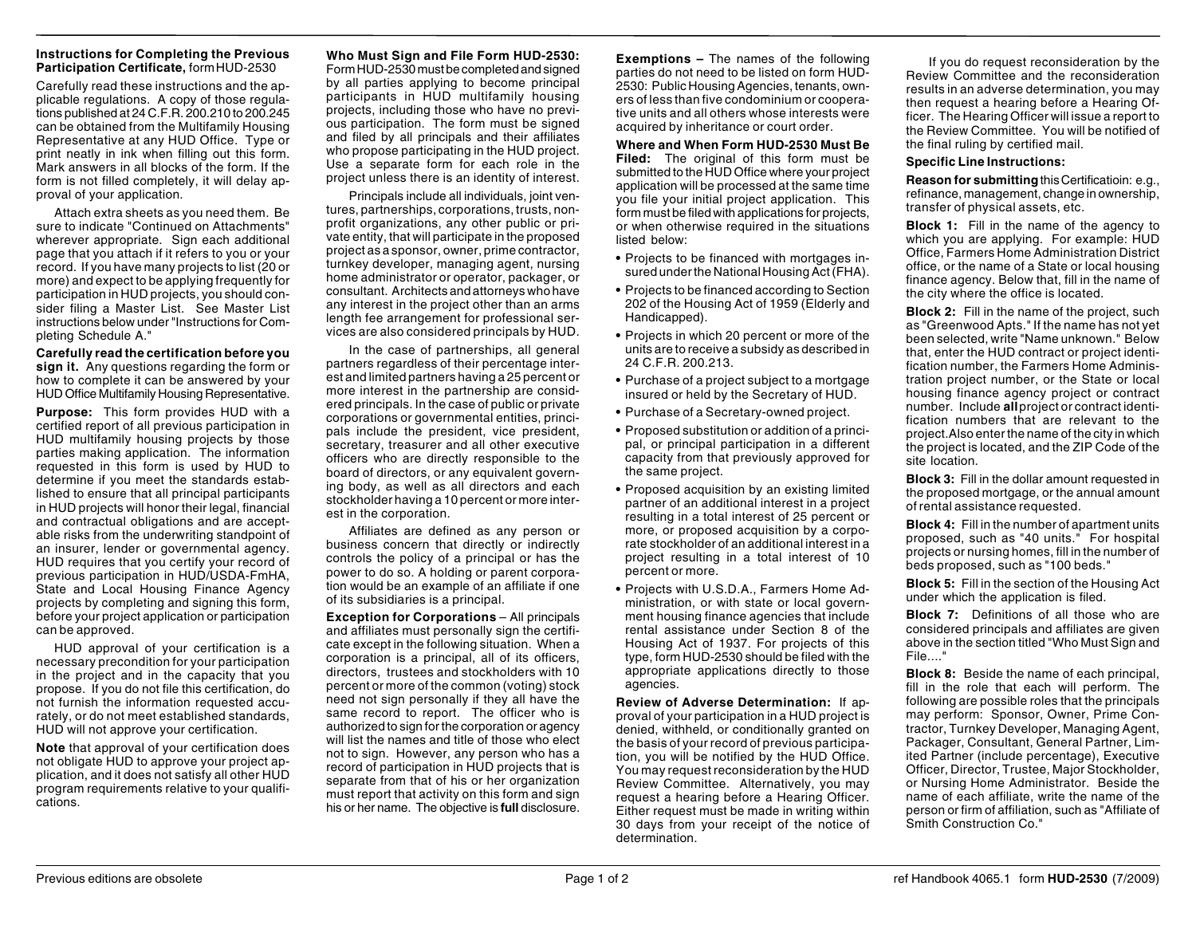### **Instructions for Completing the Previous Participation Certificate,** form HUD-2530

Carefully read these instructions and the applicable regulations. A copy of those regulations published at 24 C.F.R. 200.210 to 200.245 can be obtained from the Multifamily Housing Representative at any HUD Office. Type or print neatly in ink when filling out this form. Mark answers in all blocks of the form. If the form is not filled completely, it will delay approval of your application.

Attach extra sheets as you need them. Be sure to indicate "Continued on Attachments" wherever appropriate. Sign each additional page that you attach if it refers to you or your record. If you have many projects to list (20 or more) and expect to be applying frequently for participation in HUD projects, you should consider filing a Master List. See Master List instructions below under "Instructions for Completing Schedule A."

**Carefully read the certification before you sign it.** Any questions regarding the form or how to complete it can be answered by your HUD Office Multifamily Housing Representative.

**Purpose:** This form provides HUD with a certified report of all previous participation in HUD multifamily housing projects by those parties making application. The information requested in this form is used by HUD to determine if you meet the standards established to ensure that all principal participants in HUD projects will honor their legal, financial and contractual obligations and are acceptable risks from the underwriting standpoint of an insurer, lender or governmental agency. HUD requires that you certify your record of previous participation in HUD/USDA-FmHA, State and Local Housing Finance Agency projects by completing and signing this form, before your project application or participation can be approved.

HUD approval of your certification is a necessary precondition for your participation in the project and in the capacity that you propose. If you do not file this certification, do not furnish the information requested accurately, or do not meet established standards, HUD will not approve your certification.

**Note** that approval of your certification does not obligate HUD to approve your project application, and it does not satisfy all other HUD program requirements relative to your qualifications.

## **Who Must Sign and File Form HUD-2530:**

Form HUD-2530 must be completed and signed by all parties applying to become principal participants in HUD multifamily housing projects, including those who have no previous participation. The form must be signed and filed by all principals and their affiliates who propose participating in the HUD project. Use a separate form for each role in the project unless there is an identity of interest.

Principals include all individuals, joint ventures, partnerships, corporations, trusts, nonprofit organizations, any other public or private entity, that will participate in the proposed project as a sponsor, owner, prime contractor, turnkey developer, managing agent, nursing home administrator or operator, packager, or consultant. Architects and attorneys who have any interest in the project other than an arms length fee arrangement for professional services are also considered principals by HUD.

In the case of partnerships, all general partners regardless of their percentage interest and limited partners having a 25 percent or more interest in the partnership are considered principals. In the case of public or private corporations or governmental entities, principals include the president, vice president, secretary, treasurer and all other executive officers who are directly responsible to the board of directors, or any equivalent governing body, as well as all directors and each stockholder having a 10 percent or more interest in the corporation.

Affiliates are defined as any person or business concern that directly or indirectly controls the policy of a principal or has the power to do so. A holding or parent corporation would be an example of an affiliate if one of its subsidiaries is a principal.

**Exception for Corporations** – All principals and affiliates must personally sign the certificate except in the following situation. When a corporation is a principal, all of its officers, directors, trustees and stockholders with 10 percent or more of the common (voting) stock need not sign personally if they all have the same record to report. The officer who is authorized to sign for the corporation or agency will list the names and title of those who elect not to sign. However, any person who has a record of participation in HUD projects that is separate from that of his or her organization must report that activity on this form and sign his or her name. The objective is **full** disclosure.

**Exemptions –** The names of the following parties do not need to be listed on form HUD-2530: Public Housing Agencies, tenants, owners of less than five condominium or cooperative units and all others whose interests were acquired by inheritance or court order.

**Where and When Form HUD-2530 Must Be Filed:** The original of this form must be submitted to the HUD Office where your project application will be processed at the same time you file your initial project application. This form must be filed with applications for projects, or when otherwise required in the situations listed below:

- **•** Projects to be financed with mortgages insured under the National Housing Act (FHA).
- **•** Projects to be financed according to Section 202 of the Housing Act of 1959 (Elderly and Handicapped).
- **•** Projects in which 20 percent or more of the units are to receive a subsidy as described in 24 C.F.R. 200.213.
- **•** Purchase of a project subject to a mortgage insured or held by the Secretary of HUD.
- **•** Purchase of a Secretary-owned project.
- **•** Proposed substitution or addition of a principal, or principal participation in a different capacity from that previously approved for the same project.
- **•** Proposed acquisition by an existing limited partner of an additional interest in a project resulting in a total interest of 25 percent or more, or proposed acquisition by a corporate stockholder of an additional interest in a project resulting in a total interest of 10 percent or more.
- **•** Projects with U.S.D.A., Farmers Home Administration, or with state or local government housing finance agencies that include rental assistance under Section 8 of the Housing Act of 1937. For projects of this type, form HUD-2530 should be filed with the appropriate applications directly to those agencies.

**Review of Adverse Determination:** If approval of your participation in a HUD project is denied, withheld, or conditionally granted on the basis of your record of previous participation, you will be notified by the HUD Office. You may request reconsideration by the HUD Review Committee. Alternatively, you may request a hearing before a Hearing Officer. Either request must be made in writing within 30 days from your receipt of the notice of determination.

If you do request reconsideration by the Review Committee and the reconsideration results in an adverse determination, you may then request a hearing before a Hearing Officer. The Hearing Officer will issue a report to the Review Committee. You will be notified of the final ruling by certified mail.

## **Specific Line Instructions:**

**Reason for submitting** this Certificatioin: e.g., refinance, management, change in ownership, transfer of physical assets, etc.

**Block 1:** Fill in the name of the agency to which you are applying. For example: HUD Office, Farmers Home Administration District office, or the name of a State or local housing finance agency. Below that, fill in the name of the city where the office is located.

**Block 2:** Fill in the name of the project, such as "Greenwood Apts." If the name has not yet been selected, write "Name unknown." Below that, enter the HUD contract or project identification number, the Farmers Home Administration project number, or the State or local housing finance agency project or contract number. Include **all** project or contract identification numbers that are relevant to the project.Also enter the name of the city in which the project is located, and the ZIP Code of the site location.

**Block 3:** Fill in the dollar amount requested in the proposed mortgage, or the annual amount of rental assistance requested.

**Block 4:** Fill in the number of apartment units proposed, such as "40 units." For hospital projects or nursing homes, fill in the number of beds proposed, such as "100 beds."

**Block 5:** Fill in the section of the Housing Act under which the application is filed.

**Block 7:** Definitions of all those who are considered principals and affiliates are given above in the section titled "Who Must Sign and File...."

**Block 8:** Beside the name of each principal, fill in the role that each will perform. The following are possible roles that the principals may perform: Sponsor, Owner, Prime Contractor, Turnkey Developer, Managing Agent, Packager, Consultant, General Partner, Limited Partner (include percentage), Executive Officer, Director, Trustee, Major Stockholder, or Nursing Home Administrator. Beside the name of each affiliate, write the name of the person or firm of affiliation, such as "Affiliate of Smith Construction Co."